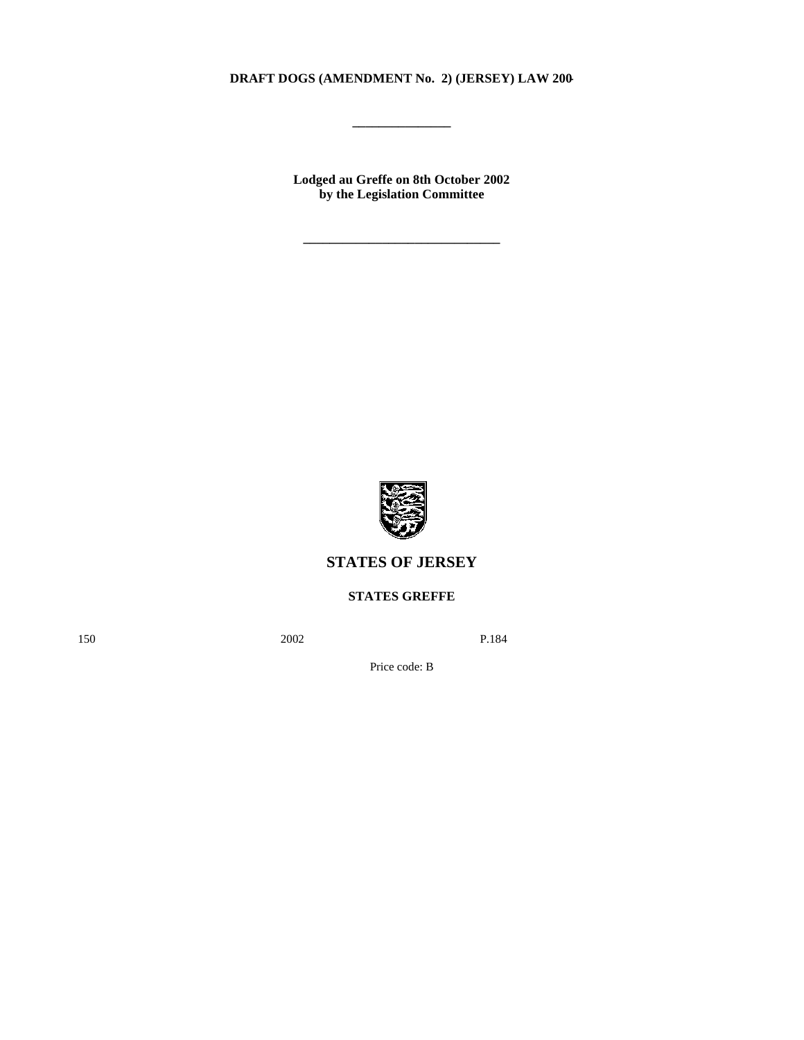### **DRAFT DOGS (AMENDMENT No. 2) (JERSEY) LAW 200-**

**\_\_\_\_\_\_\_\_\_\_\_\_\_\_\_**

**Lodged au Greffe on 8th October 2002 by the Legislation Committee**

**\_\_\_\_\_\_\_\_\_\_\_\_\_\_\_\_\_\_\_\_\_\_\_\_\_\_\_\_\_\_**



# **STATES OF JERSEY**

**STATES GREFFE**

150 2002 P.184

Price code: B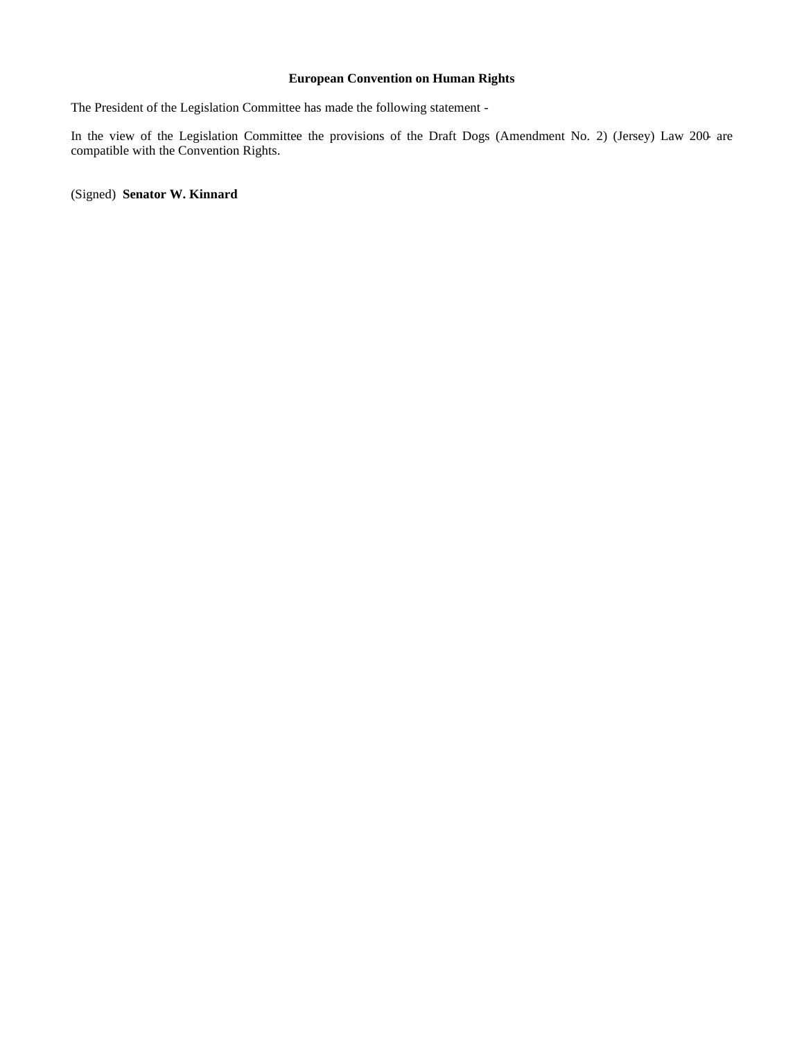#### **European Convention on Human Rights**

The President of the Legislation Committee has made the following statement -

In the view of the Legislation Committee the provisions of the Draft Dogs (Amendment No. 2) (Jersey) Law 200- are compatible with the Convention Rights.

(Signed) **Senator W. Kinnard**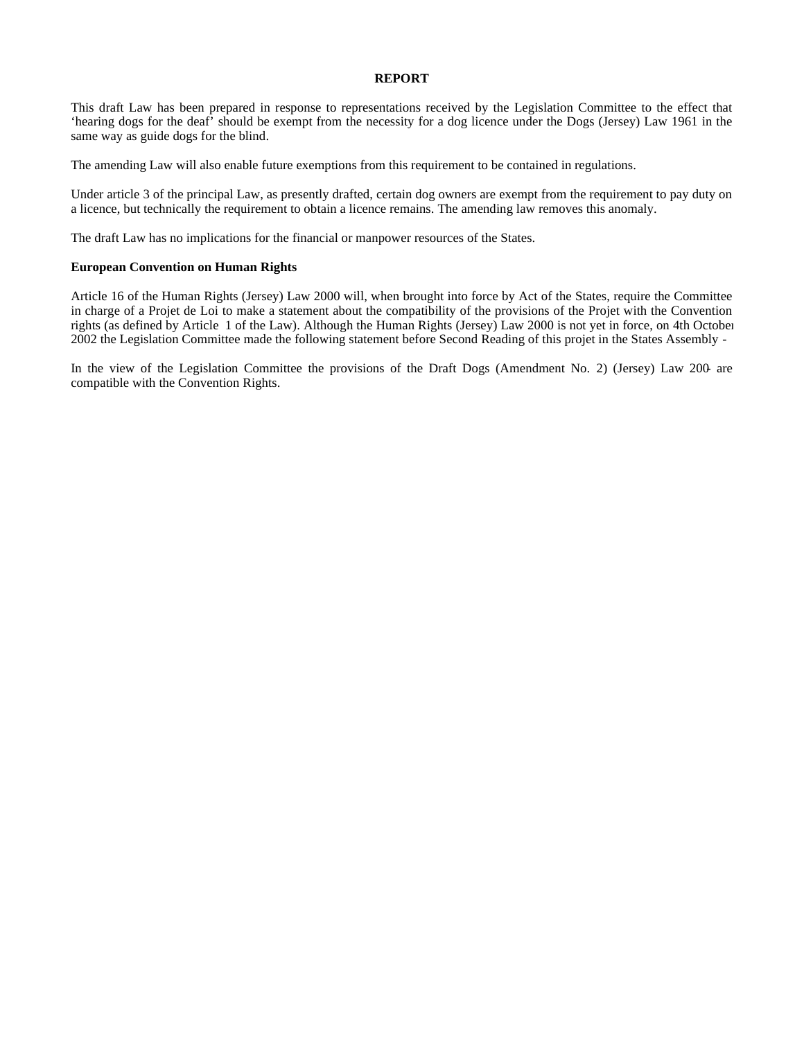#### **REPORT**

This draft Law has been prepared in response to representations received by the Legislation Committee to the effect that 'hearing dogs for the deaf' should be exempt from the necessity for a dog licence under the Dogs (Jersey) Law 1961 in the same way as guide dogs for the blind.

The amending Law will also enable future exemptions from this requirement to be contained in regulations.

Under article 3 of the principal Law, as presently drafted, certain dog owners are exempt from the requirement to pay duty on a licence, but technically the requirement to obtain a licence remains. The amending law removes this anomaly.

The draft Law has no implications for the financial or manpower resources of the States.

#### **European Convention on Human Rights**

Article 16 of the Human Rights (Jersey) Law 2000 will, when brought into force by Act of the States, require the Committee in charge of a Projet de Loi to make a statement about the compatibility of the provisions of the Projet with the Convention rights (as defined by Article 1 of the Law). Although the Human Rights (Jersey) Law 2000 is not yet in force, on 4th October 2002 the Legislation Committee made the following statement before Second Reading of this projet in the States Assembly -

In the view of the Legislation Committee the provisions of the Draft Dogs (Amendment No. 2) (Jersey) Law 200- are compatible with the Convention Rights.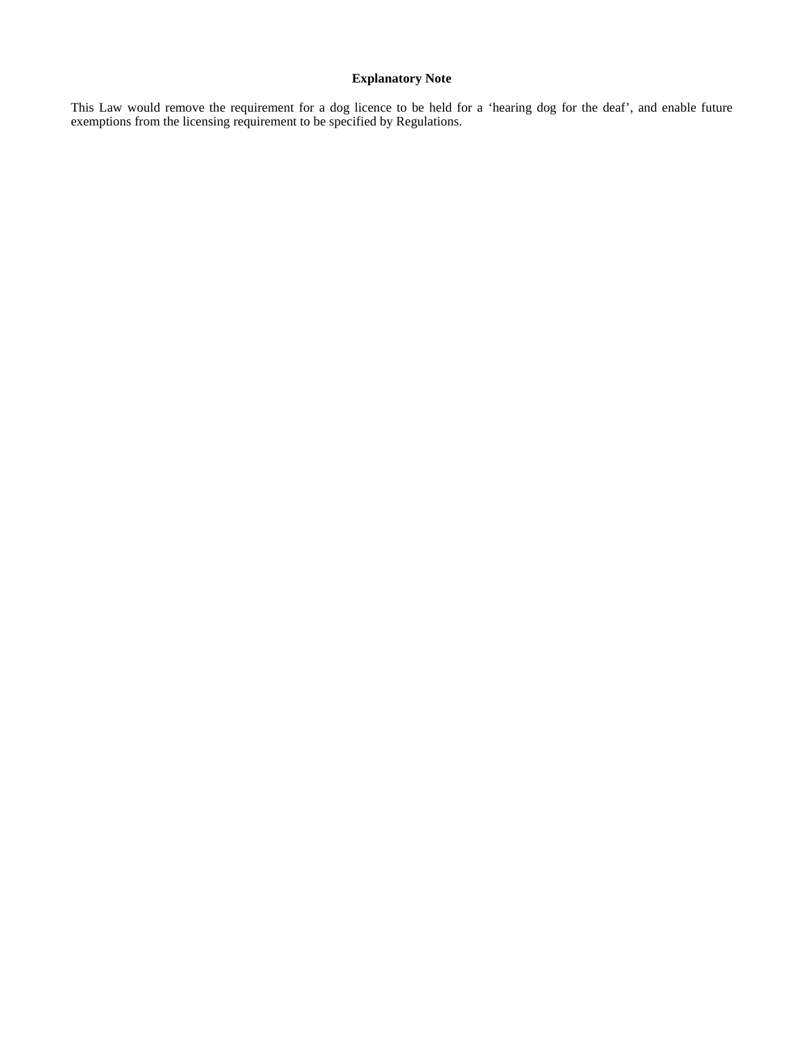## **Explanatory Note**

This Law would remove the requirement for a dog licence to be held for a 'hearing dog for the deaf', and enable future exemptions from the licensing requirement to be specified by Regulations.